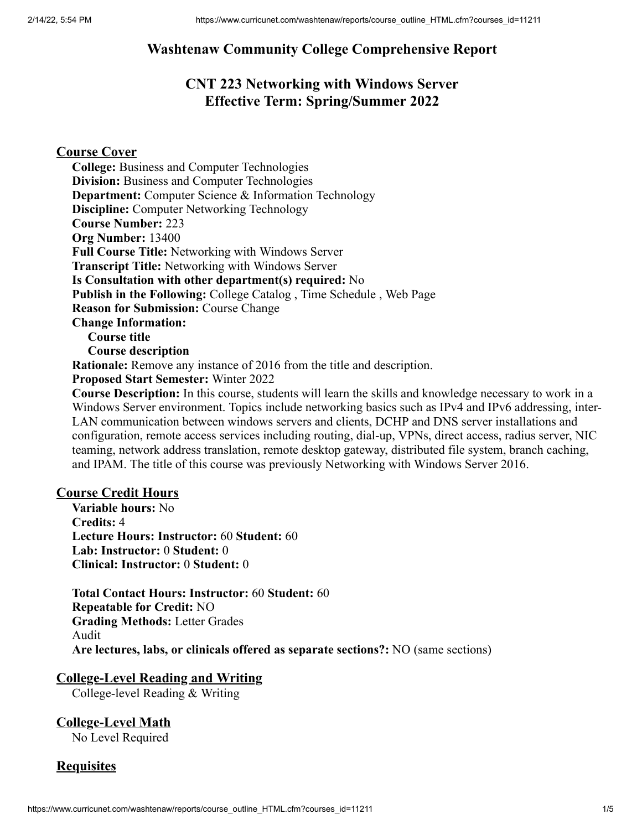# **Washtenaw Community College Comprehensive Report**

# **CNT 223 Networking with Windows Server Effective Term: Spring/Summer 2022**

# **Course Cover**

**College:** Business and Computer Technologies **Division:** Business and Computer Technologies **Department:** Computer Science & Information Technology **Discipline:** Computer Networking Technology **Course Number:** 223 **Org Number:** 13400 **Full Course Title:** Networking with Windows Server **Transcript Title:** Networking with Windows Server **Is Consultation with other department(s) required:** No **Publish in the Following:** College Catalog , Time Schedule , Web Page **Reason for Submission:** Course Change **Change Information: Course title Course description Rationale:** Remove any instance of 2016 from the title and description. **Proposed Start Semester:** Winter 2022 **Course Description:** In this course, students will learn the skills and knowledge necessary to work in a Windows Server environment. Topics include networking basics such as IPv4 and IPv6 addressing, inter-LAN communication between windows servers and clients, DCHP and DNS server installations and

configuration, remote access services including routing, dial-up, VPNs, direct access, radius server, NIC teaming, network address translation, remote desktop gateway, distributed file system, branch caching, and IPAM. The title of this course was previously Networking with Windows Server 2016.

## **Course Credit Hours**

**Variable hours:** No **Credits:** 4 **Lecture Hours: Instructor:** 60 **Student:** 60 **Lab: Instructor:** 0 **Student:** 0 **Clinical: Instructor:** 0 **Student:** 0

**Total Contact Hours: Instructor:** 60 **Student:** 60 **Repeatable for Credit:** NO **Grading Methods:** Letter Grades Audit **Are lectures, labs, or clinicals offered as separate sections?:** NO (same sections)

## **College-Level Reading and Writing**

College-level Reading & Writing

**College-Level Math** No Level Required

# **Requisites**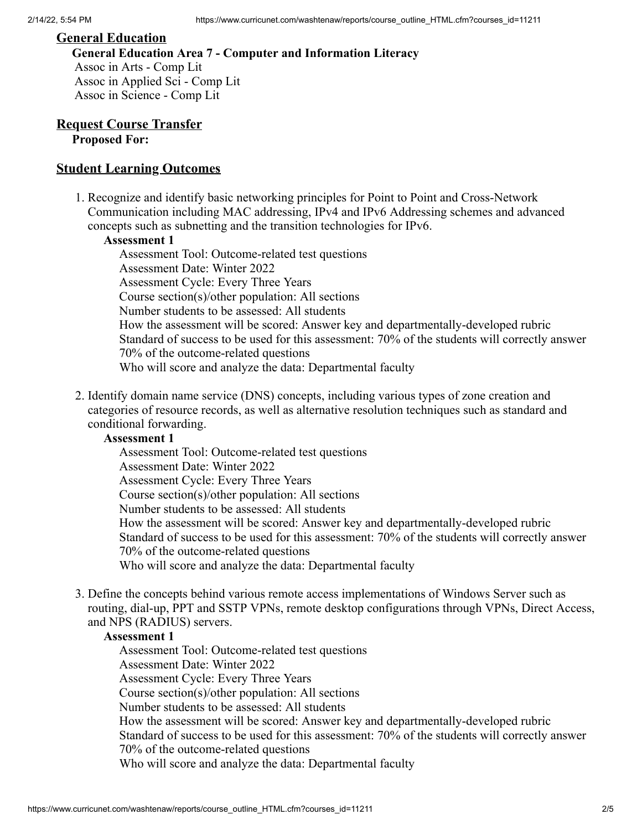## **General Education**

**General Education Area 7 - Computer and Information Literacy** Assoc in Arts - Comp Lit Assoc in Applied Sci - Comp Lit Assoc in Science - Comp Lit

## **Request Course Transfer Proposed For:**

## **Student Learning Outcomes**

1. Recognize and identify basic networking principles for Point to Point and Cross-Network Communication including MAC addressing, IPv4 and IPv6 Addressing schemes and advanced concepts such as subnetting and the transition technologies for IPv6.

#### **Assessment 1**

Assessment Tool: Outcome-related test questions Assessment Date: Winter 2022 Assessment Cycle: Every Three Years Course section(s)/other population: All sections Number students to be assessed: All students How the assessment will be scored: Answer key and departmentally-developed rubric Standard of success to be used for this assessment: 70% of the students will correctly answer 70% of the outcome-related questions Who will score and analyze the data: Departmental faculty

2. Identify domain name service (DNS) concepts, including various types of zone creation and categories of resource records, as well as alternative resolution techniques such as standard and conditional forwarding.

## **Assessment 1**

Assessment Tool: Outcome-related test questions Assessment Date: Winter 2022 Assessment Cycle: Every Three Years Course section(s)/other population: All sections Number students to be assessed: All students How the assessment will be scored: Answer key and departmentally-developed rubric Standard of success to be used for this assessment: 70% of the students will correctly answer 70% of the outcome-related questions Who will score and analyze the data: Departmental faculty

3. Define the concepts behind various remote access implementations of Windows Server such as routing, dial-up, PPT and SSTP VPNs, remote desktop configurations through VPNs, Direct Access, and NPS (RADIUS) servers.

#### **Assessment 1**

Assessment Tool: Outcome-related test questions Assessment Date: Winter 2022 Assessment Cycle: Every Three Years Course section(s)/other population: All sections Number students to be assessed: All students How the assessment will be scored: Answer key and departmentally-developed rubric Standard of success to be used for this assessment: 70% of the students will correctly answer 70% of the outcome-related questions Who will score and analyze the data: Departmental faculty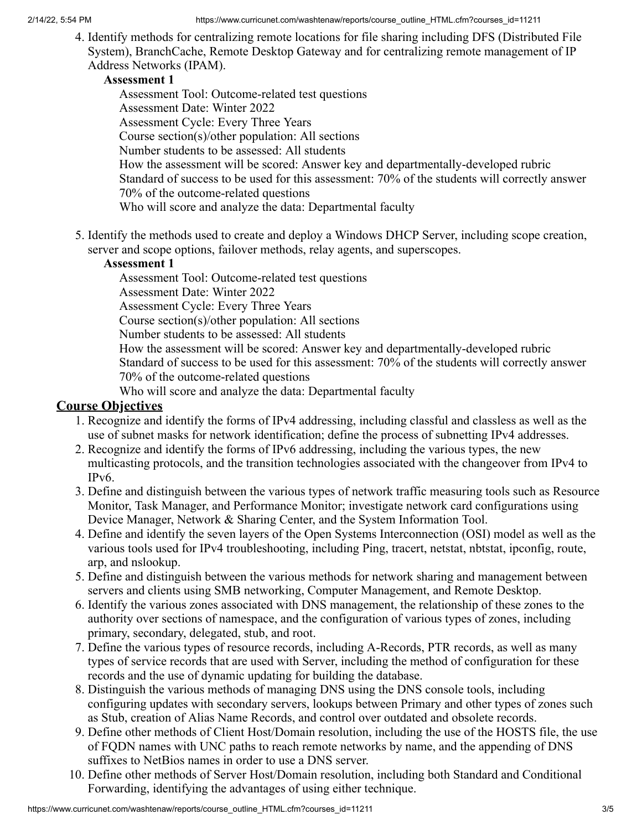4. Identify methods for centralizing remote locations for file sharing including DFS (Distributed File System), BranchCache, Remote Desktop Gateway and for centralizing remote management of IP Address Networks (IPAM).

# **Assessment 1**

Assessment Tool: Outcome-related test questions Assessment Date: Winter 2022 Assessment Cycle: Every Three Years Course section(s)/other population: All sections Number students to be assessed: All students How the assessment will be scored: Answer key and departmentally-developed rubric Standard of success to be used for this assessment: 70% of the students will correctly answer 70% of the outcome-related questions Who will score and analyze the data: Departmental faculty

5. Identify the methods used to create and deploy a Windows DHCP Server, including scope creation, server and scope options, failover methods, relay agents, and superscopes.

# **Assessment 1**

Assessment Tool: Outcome-related test questions Assessment Date: Winter 2022 Assessment Cycle: Every Three Years Course section(s)/other population: All sections Number students to be assessed: All students How the assessment will be scored: Answer key and departmentally-developed rubric Standard of success to be used for this assessment: 70% of the students will correctly answer 70% of the outcome-related questions Who will score and analyze the data: Departmental faculty

# **Course Objectives**

- 1. Recognize and identify the forms of IPv4 addressing, including classful and classless as well as the use of subnet masks for network identification; define the process of subnetting IPv4 addresses.
- 2. Recognize and identify the forms of IPv6 addressing, including the various types, the new multicasting protocols, and the transition technologies associated with the changeover from IPv4 to IPv6.
- 3. Define and distinguish between the various types of network traffic measuring tools such as Resource Monitor, Task Manager, and Performance Monitor; investigate network card configurations using Device Manager, Network & Sharing Center, and the System Information Tool.
- 4. Define and identify the seven layers of the Open Systems Interconnection (OSI) model as well as the various tools used for IPv4 troubleshooting, including Ping, tracert, netstat, nbtstat, ipconfig, route, arp, and nslookup.
- 5. Define and distinguish between the various methods for network sharing and management between servers and clients using SMB networking, Computer Management, and Remote Desktop.
- 6. Identify the various zones associated with DNS management, the relationship of these zones to the authority over sections of namespace, and the configuration of various types of zones, including primary, secondary, delegated, stub, and root.
- 7. Define the various types of resource records, including A-Records, PTR records, as well as many types of service records that are used with Server, including the method of configuration for these records and the use of dynamic updating for building the database.
- 8. Distinguish the various methods of managing DNS using the DNS console tools, including configuring updates with secondary servers, lookups between Primary and other types of zones such as Stub, creation of Alias Name Records, and control over outdated and obsolete records.
- 9. Define other methods of Client Host/Domain resolution, including the use of the HOSTS file, the use of FQDN names with UNC paths to reach remote networks by name, and the appending of DNS suffixes to NetBios names in order to use a DNS server.
- 10. Define other methods of Server Host/Domain resolution, including both Standard and Conditional Forwarding, identifying the advantages of using either technique.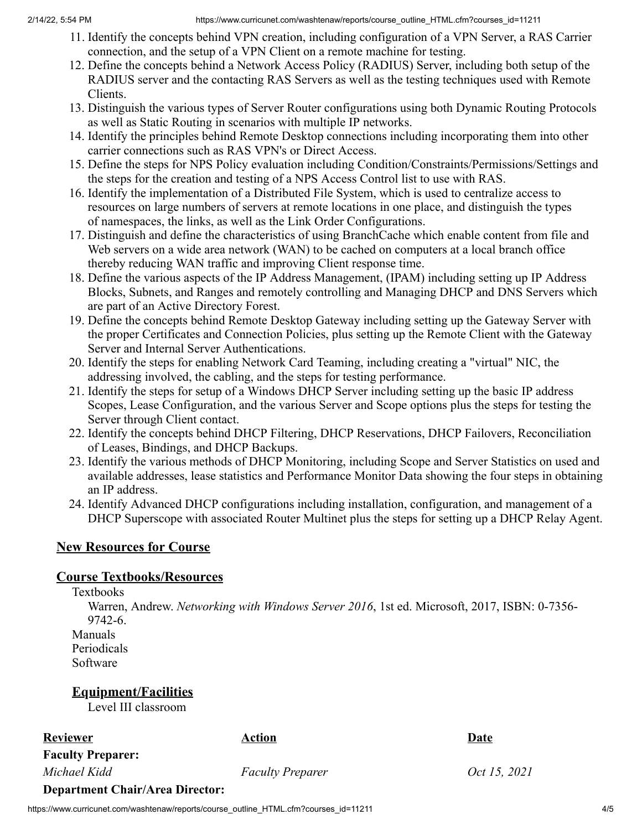- 11. Identify the concepts behind VPN creation, including configuration of a VPN Server, a RAS Carrier connection, and the setup of a VPN Client on a remote machine for testing.
- 12. Define the concepts behind a Network Access Policy (RADIUS) Server, including both setup of the RADIUS server and the contacting RAS Servers as well as the testing techniques used with Remote Clients.
- 13. Distinguish the various types of Server Router configurations using both Dynamic Routing Protocols as well as Static Routing in scenarios with multiple IP networks.
- 14. Identify the principles behind Remote Desktop connections including incorporating them into other carrier connections such as RAS VPN's or Direct Access.
- 15. Define the steps for NPS Policy evaluation including Condition/Constraints/Permissions/Settings and the steps for the creation and testing of a NPS Access Control list to use with RAS.
- 16. Identify the implementation of a Distributed File System, which is used to centralize access to resources on large numbers of servers at remote locations in one place, and distinguish the types of namespaces, the links, as well as the Link Order Configurations.
- 17. Distinguish and define the characteristics of using BranchCache which enable content from file and Web servers on a wide area network (WAN) to be cached on computers at a local branch office thereby reducing WAN traffic and improving Client response time.
- 18. Define the various aspects of the IP Address Management, (IPAM) including setting up IP Address Blocks, Subnets, and Ranges and remotely controlling and Managing DHCP and DNS Servers which are part of an Active Directory Forest.
- 19. Define the concepts behind Remote Desktop Gateway including setting up the Gateway Server with the proper Certificates and Connection Policies, plus setting up the Remote Client with the Gateway Server and Internal Server Authentications.
- 20. Identify the steps for enabling Network Card Teaming, including creating a "virtual" NIC, the addressing involved, the cabling, and the steps for testing performance.
- 21. Identify the steps for setup of a Windows DHCP Server including setting up the basic IP address Scopes, Lease Configuration, and the various Server and Scope options plus the steps for testing the Server through Client contact.
- 22. Identify the concepts behind DHCP Filtering, DHCP Reservations, DHCP Failovers, Reconciliation of Leases, Bindings, and DHCP Backups.
- 23. Identify the various methods of DHCP Monitoring, including Scope and Server Statistics on used and available addresses, lease statistics and Performance Monitor Data showing the four steps in obtaining an IP address.
- 24. Identify Advanced DHCP configurations including installation, configuration, and management of a DHCP Superscope with associated Router Multinet plus the steps for setting up a DHCP Relay Agent.

# **New Resources for Course**

# **Course Textbooks/Resources**

Textbooks

Warren, Andrew. *Networking with Windows Server 2016*, 1st ed. Microsoft, 2017, ISBN: 0-7356- 9742-6.

Manuals Periodicals Software

**Equipment/Facilities**

Level III classroom

# **Reviewer Date**

**Faculty Preparer:**

*Michael Kidd Faculty Preparer Oct 15, 2021*

# **Department Chair/Area Director:**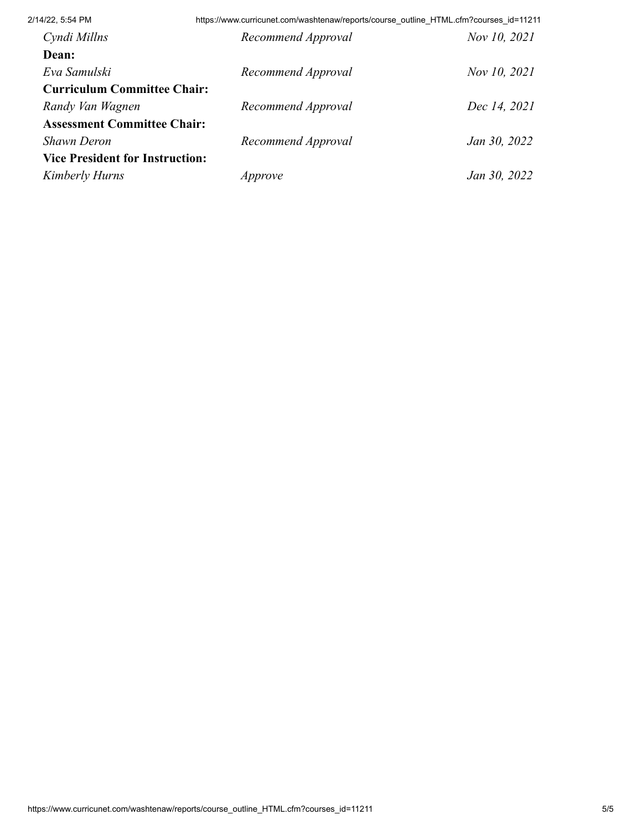| 2/14/22, 5:54 PM                       | https://www.curricunet.com/washtenaw/reports/course_outline_HTML.cfm?courses_id=11211 |              |
|----------------------------------------|---------------------------------------------------------------------------------------|--------------|
| Cyndi Millns                           | Recommend Approval                                                                    | Nov 10, 2021 |
| Dean:                                  |                                                                                       |              |
| Eva Samulski                           | Recommend Approval                                                                    | Nov 10, 2021 |
| <b>Curriculum Committee Chair:</b>     |                                                                                       |              |
| Randy Van Wagnen                       | Recommend Approval                                                                    | Dec 14, 2021 |
| <b>Assessment Committee Chair:</b>     |                                                                                       |              |
| Shawn Deron                            | Recommend Approval                                                                    | Jan 30, 2022 |
| <b>Vice President for Instruction:</b> |                                                                                       |              |
| <b>Kimberly Hurns</b>                  | Approve                                                                               | Jan 30, 2022 |
|                                        |                                                                                       |              |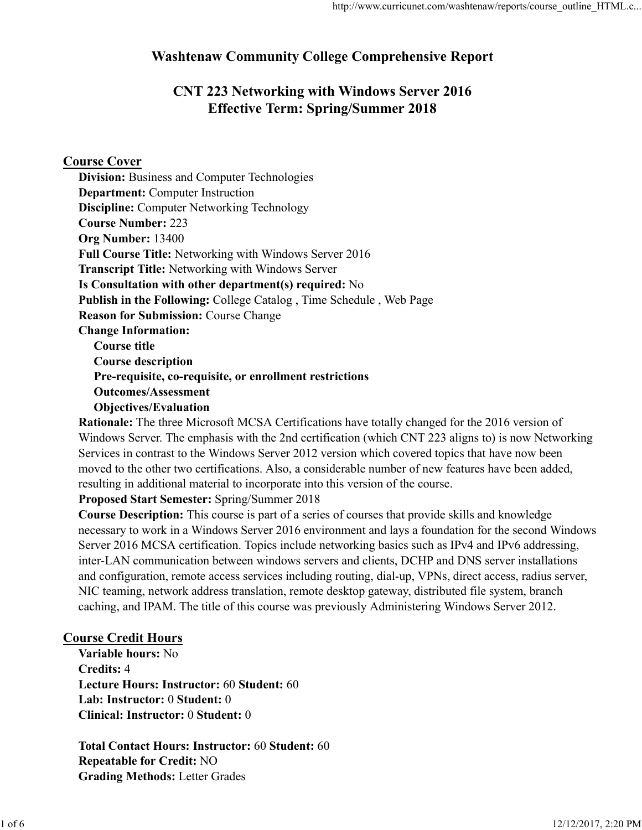# Washtenaw Community College Comprehensive Report

# CNT 223 Networking with Windows Server 2016 Effective Term: Spring/Summer 2018

# Course Cover

Objectives/Evaluation

Rationale: The three Microsoft MCSA Certifications have totally changed for the 2016 version of Windows Server. The emphasis with the 2nd certification (which CNT 223 aligns to) is now Networking Services in contrast to the Windows Server 2012 version which covered topics that have now been moved to the other two certifications. Also, a considerable number of new features have been added, resulting in additional material to incorporate into this version of the course.

Proposed Start Semester: Spring/Summer 2018

Course Description: This course is part of a series of courses that provide skills and knowledge necessary to work in a Windows Server 2016 environment and lays a foundation for the second Windows Server 2016 MCSA certification. Topics include networking basics such as IPv4 and IPv6 addressing, inter-LAN communication between windows servers and clients, DCHP and DNS server installations and configuration, remote access services including routing, dial-up, VPNs, direct access, radius server, NIC teaming, network address translation, remote desktop gateway, distributed file system, branch caching, and IPAM. The title of this course was previously Administering Windows Server 2012. inter-LAN communication between windows servers and clients, DCHP and DNS server installations<br>
and configuration, remote access services including routing, dial-up, VPNs, direct access, radius server,<br>
NIC teaming, and IP

# Course Credit Hours

Variable hours: No Credits: 4 Lecture Hours: Instructor: 60 Student: 60 Lab: Instructor: 0 Student: 0 Clinical: Instructor: 0 Student: 0

Total Contact Hours: Instructor: 60 Student: 60 Repeatable for Credit: NO Grading Methods: Letter Grades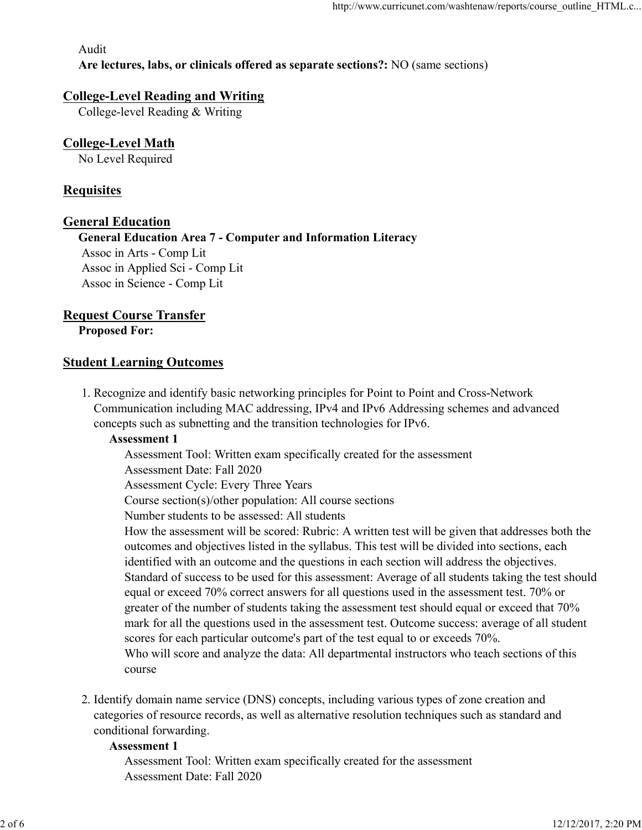Audit

Are lectures, labs, or clinicals offered as separate sections?: NO (same sections)

## College-Level Reading and Writing

College-level Reading & Writing

# College-Level Math

No Level Required

# **Requisites**

## General Education

General Education Area 7 - Computer and Information Literacy Assoc in Arts - Comp Lit Assoc in Applied Sci - Comp Lit Assoc in Science - Comp Lit

# Request Course Transfer

Proposed For:

## **Student Learning Outcomes**

1. Recognize and identify basic networking principles for Point to Point and Cross-Network Communication including MAC addressing, IPv4 and IPv6 Addressing schemes and advanced concepts such as subnetting and the transition technologies for IPv6.

## Assessment 1

Assessment Tool: Written exam specifically created for the assessment Assessment Date: Fall 2020 Assessment Cycle: Every Three Years Course section(s)/other population: All course sections Number students to be assessed: All students How the assessment will be scored: Rubric: A written test will be given that addresses both the outcomes and objectives listed in the syllabus. This test will be divided into sections, each identified with an outcome and the questions in each section will address the objectives. Standard of success to be used for this assessment: Average of all students taking the test should equal or exceed 70% correct answers for all questions used in the assessment test. 70% or greater of the number of students taking the assessment test should equal or exceed that 70% mark for all the questions used in the assessment test. Outcome success: average of all student identified with an outcome and the questions in each section will address the objectives,<br>
Standard of success to be used for this assessment: Average of all students taking the test should<br>
equal or exceed 70% correct ans

scores for each particular outcome's part of the test equal to or exceeds 70%. Who will score and analyze the data: All departmental instructors who teach sections of this course

2. Identify domain name service (DNS) concepts, including various types of zone creation and categories of resource records, as well as alternative resolution techniques such as standard and conditional forwarding.

#### Assessment 1

Assessment Tool: Written exam specifically created for the assessment Assessment Date: Fall 2020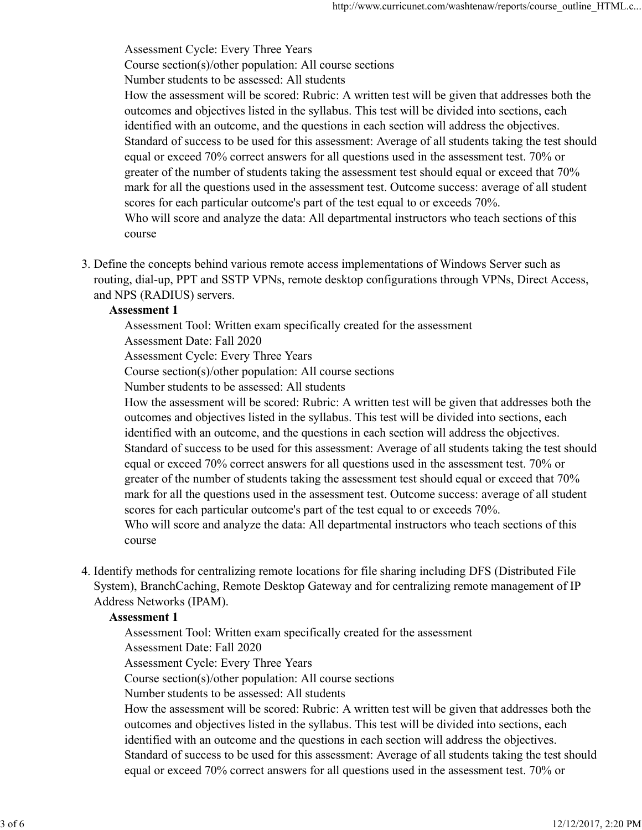Assessment Cycle: Every Three Years Course section(s)/other population: All course sections Number students to be assessed: All students How the assessment will be scored: Rubric: A written test will be given that addresses both the outcomes and objectives listed in the syllabus. This test will be divided into sections, each identified with an outcome, and the questions in each section will address the objectives. Standard of success to be used for this assessment: Average of all students taking the test should equal or exceed 70% correct answers for all questions used in the assessment test. 70% or greater of the number of students taking the assessment test should equal or exceed that 70% mark for all the questions used in the assessment test. Outcome success: average of all student scores for each particular outcome's part of the test equal to or exceeds 70%. Who will score and analyze the data: All departmental instructors who teach sections of this course

Define the concepts behind various remote access implementations of Windows Server such as 3. routing, dial-up, PPT and SSTP VPNs, remote desktop configurations through VPNs, Direct Access, and NPS (RADIUS) servers.

### Assessment 1

Assessment Tool: Written exam specifically created for the assessment Assessment Date: Fall 2020 Assessment Cycle: Every Three Years Course section(s)/other population: All course sections

Number students to be assessed: All students

How the assessment will be scored: Rubric: A written test will be given that addresses both the outcomes and objectives listed in the syllabus. This test will be divided into sections, each identified with an outcome, and the questions in each section will address the objectives. Standard of success to be used for this assessment: Average of all students taking the test should equal or exceed 70% correct answers for all questions used in the assessment test. 70% or greater of the number of students taking the assessment test should equal or exceed that 70% mark for all the questions used in the assessment test. Outcome success: average of all student scores for each particular outcome's part of the test equal to or exceeds 70%. Who will score and analyze the data: All departmental instructors who teach sections of this course

4. Identify methods for centralizing remote locations for file sharing including DFS (Distributed File System), BranchCaching, Remote Desktop Gateway and for centralizing remote management of IP Address Networks (IPAM).

## Assessment 1

Assessment Tool: Written exam specifically created for the assessment

Assessment Date: Fall 2020

Assessment Cycle: Every Three Years

Course section(s)/other population: All course sections

Number students to be assessed: All students

How the assessment will be scored: Rubric: A written test will be given that addresses both the outcomes and objectives listed in the syllabus. This test will be divided into sections, each identified with an outcome and the questions in each section will address the objectives. Standard of success to be used for this assessment: Average of all students taking the test should equal or exceed 70% correct answers for all questions used in the assessment test. 70% or 4. Identify methods for centralizing remote locations for file sharing including DFS (Distributed File<br>System), BranchCaching, Remote Desktop Gateway and for centralizing remote management of IP<br>Address Networks (IPAM).<br>A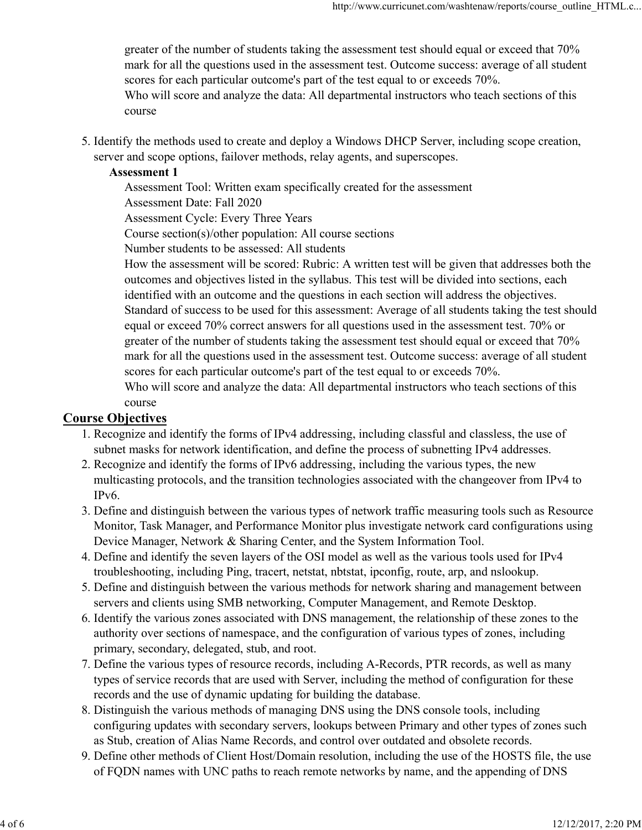greater of the number of students taking the assessment test should equal or exceed that 70% mark for all the questions used in the assessment test. Outcome success: average of all student scores for each particular outcome's part of the test equal to or exceeds 70%. Who will score and analyze the data: All departmental instructors who teach sections of this course

5. Identify the methods used to create and deploy a Windows DHCP Server, including scope creation, server and scope options, failover methods, relay agents, and superscopes.

## Assessment 1

Assessment Tool: Written exam specifically created for the assessment Assessment Date: Fall 2020 Assessment Cycle: Every Three Years

Course section(s)/other population: All course sections

Number students to be assessed: All students

How the assessment will be scored: Rubric: A written test will be given that addresses both the outcomes and objectives listed in the syllabus. This test will be divided into sections, each identified with an outcome and the questions in each section will address the objectives. Standard of success to be used for this assessment: Average of all students taking the test should equal or exceed 70% correct answers for all questions used in the assessment test. 70% or greater of the number of students taking the assessment test should equal or exceed that 70% mark for all the questions used in the assessment test. Outcome success: average of all student scores for each particular outcome's part of the test equal to or exceeds 70%. Who will score and analyze the data: All departmental instructors who teach sections of this course

## Course Objectives

- 1. Recognize and identify the forms of IPv4 addressing, including classful and classless, the use of subnet masks for network identification, and define the process of subnetting IPv4 addresses.
- 2. Recognize and identify the forms of IPv6 addressing, including the various types, the new multicasting protocols, and the transition technologies associated with the changeover from IPv4 to IPv6.
- Define and distinguish between the various types of network traffic measuring tools such as Resource 3. Monitor, Task Manager, and Performance Monitor plus investigate network card configurations using Device Manager, Network & Sharing Center, and the System Information Tool.
- Define and identify the seven layers of the OSI model as well as the various tools used for IPv4 4. troubleshooting, including Ping, tracert, netstat, nbtstat, ipconfig, route, arp, and nslookup.
- Define and distinguish between the various methods for network sharing and management between 5. servers and clients using SMB networking, Computer Management, and Remote Desktop.
- 6. Identify the various zones associated with DNS management, the relationship of these zones to the authority over sections of namespace, and the configuration of various types of zones, including primary, secondary, delegated, stub, and root.
- Define the various types of resource records, including A-Records, PTR records, as well as many 7. types of service records that are used with Server, including the method of configuration for these records and the use of dynamic updating for building the database.
- 8. Distinguish the various methods of managing DNS using the DNS console tools, including configuring updates with secondary servers, lookups between Primary and other types of zones such as Stub, creation of Alias Name Records, and control over outdated and obsolete records. 4. Define and identify the seven layers of the OSI model as well as the various tools used for IPv4<br>troubleshooting, including Ping, tracert, netstat, nbtrstat, ipconfig, route, are, and aslookup.<br>5. Define and distinguish
	- Define other methods of Client Host/Domain resolution, including the use of the HOSTS file, the use 9. of FQDN names with UNC paths to reach remote networks by name, and the appending of DNS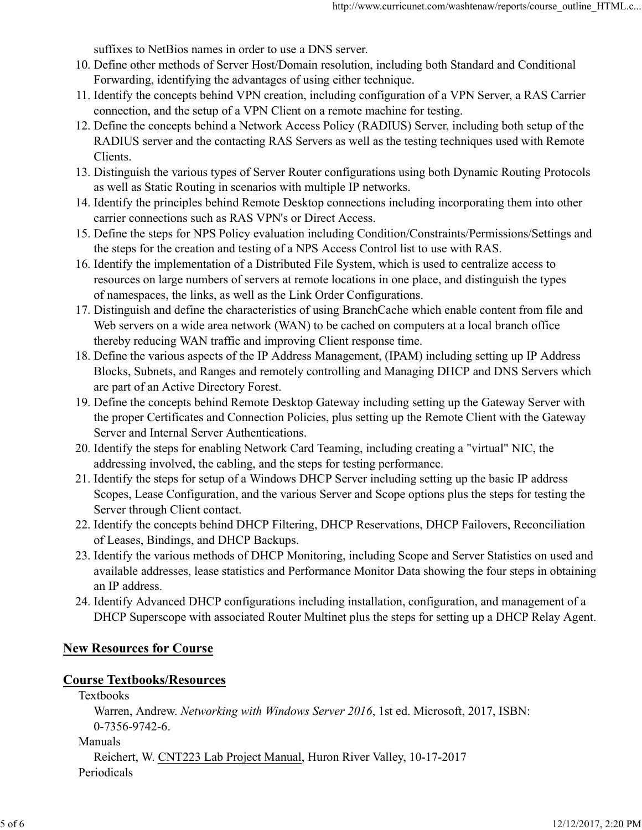suffixes to NetBios names in order to use a DNS server.

- 10. Define other methods of Server Host/Domain resolution, including both Standard and Conditional Forwarding, identifying the advantages of using either technique.
- Identify the concepts behind VPN creation, including configuration of a VPN Server, a RAS Carrier 11. connection, and the setup of a VPN Client on a remote machine for testing.
- 12. Define the concepts behind a Network Access Policy (RADIUS) Server, including both setup of the RADIUS server and the contacting RAS Servers as well as the testing techniques used with Remote Clients.
- 13. Distinguish the various types of Server Router configurations using both Dynamic Routing Protocols as well as Static Routing in scenarios with multiple IP networks.
- Identify the principles behind Remote Desktop connections including incorporating them into other 14. carrier connections such as RAS VPN's or Direct Access.
- 15. Define the steps for NPS Policy evaluation including Condition/Constraints/Permissions/Settings and the steps for the creation and testing of a NPS Access Control list to use with RAS.
- 16. Identify the implementation of a Distributed File System, which is used to centralize access to resources on large numbers of servers at remote locations in one place, and distinguish the types of namespaces, the links, as well as the Link Order Configurations.
- 17. Distinguish and define the characteristics of using BranchCache which enable content from file and Web servers on a wide area network (WAN) to be cached on computers at a local branch office thereby reducing WAN traffic and improving Client response time.
- 18. Define the various aspects of the IP Address Management, (IPAM) including setting up IP Address Blocks, Subnets, and Ranges and remotely controlling and Managing DHCP and DNS Servers which are part of an Active Directory Forest.
- Define the concepts behind Remote Desktop Gateway including setting up the Gateway Server with 19. the proper Certificates and Connection Policies, plus setting up the Remote Client with the Gateway Server and Internal Server Authentications.
- 20. Identify the steps for enabling Network Card Teaming, including creating a "virtual" NIC, the addressing involved, the cabling, and the steps for testing performance.
- 21. Identify the steps for setup of a Windows DHCP Server including setting up the basic IP address Scopes, Lease Configuration, and the various Server and Scope options plus the steps for testing the Server through Client contact.
- 22. Identify the concepts behind DHCP Filtering, DHCP Reservations, DHCP Failovers, Reconciliation of Leases, Bindings, and DHCP Backups.
- 23. Identify the various methods of DHCP Monitoring, including Scope and Server Statistics on used and available addresses, lease statistics and Performance Monitor Data showing the four steps in obtaining an IP address. 23. Identify the various methods of DHCP Monitoring, including Scope and Server Statistics on used and<br>available addresses, lease statistics and Performance Monitor Data showing the four steps in obtaining<br>an IP address.<br>
	- 24. Identify Advanced DHCP configurations including installation, configuration, and management of a DHCP Superscope with associated Router Multinet plus the steps for setting up a DHCP Relay Agent.

# New Resources for Course

# Course Textbooks/Resources

Textbooks

Warren, Andrew. Networking with Windows Server 2016, 1st ed. Microsoft, 2017, ISBN: 0-7356-9742-6.

#### Manuals

Reichert, W. CNT223 Lab Project Manual, Huron River Valley, 10-17-2017 Periodicals